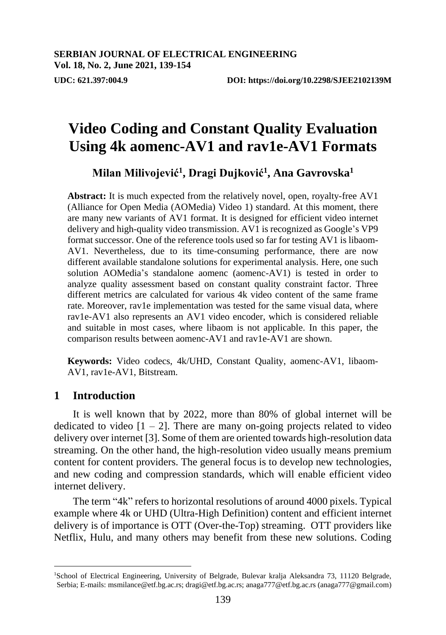**Milan Milivojević<sup>1</sup> , Dragi Dujković<sup>1</sup> , Ana Gavrovska<sup>1</sup>**

**Abstract:** It is much expected from the relatively novel, open, royalty-free AV1 (Alliance for Open Media (AOMedia) Video 1) standard. At this moment, there are many new variants of AV1 format. It is designed for efficient video internet delivery and high-quality video transmission. AV1 is recognized as Google's VP9 format successor. One of the reference tools used so far for testing AV1 is libaom-AV1. Nevertheless, due to its time-consuming performance, there are now different available standalone solutions for experimental analysis. Here, one such solution AOMedia's standalone aomenc (aomenc-AV1) is tested in order to analyze quality assessment based on constant quality constraint factor. Three different metrics are calculated for various 4k video content of the same frame rate. Moreover, rav1e implementation was tested for the same visual data, where rav1e-AV1 also represents an AV1 video encoder, which is considered reliable and suitable in most cases, where libaom is not applicable. In this paper, the comparison results between aomenc-AV1 and rav1e-AV1 are shown.

**Keywords:** Video codecs, 4k/UHD, Constant Quality, aomenc-AV1, libaom-AV1, rav1e-AV1, Bitstream.

# **1 Introduction**

 $\overline{a}$ 

It is well known that by 2022, more than 80% of global internet will be dedicated to video  $[1 - 2]$ . There are many on-going projects related to video delivery over internet [3]. Some of them are oriented towards high-resolution data streaming. On the other hand, the high-resolution video usually means premium content for content providers. The general focus is to develop new technologies, and new coding and compression standards, which will enable efficient video internet delivery.

The term "4k" refers to horizontal resolutions of around 4000 pixels. Typical example where 4k or UHD (Ultra-High Definition) content and efficient internet delivery is of importance is OTT (Over-the-Top) streaming. OTT providers like Netflix, Hulu, and many others may benefit from these new solutions. Coding

<sup>1</sup>School of Electrical Engineering, University of Belgrade, Bulevar kralja Aleksandra 73, 11120 Belgrade, Serbia; E-mails: msmilance@etf.bg.ac.rs; dragi@etf.bg.ac.rs[; anaga777@etf.bg.ac.rs \(anaga777@gmail.com\)](mailto:npsubbu@yahoo.com)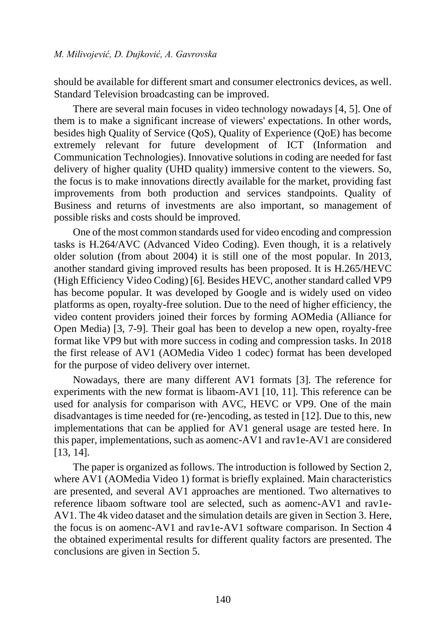should be available for different smart and consumer electronics devices, as well. Standard Television broadcasting can be improved.

There are several main focuses in video technology nowadays [4, 5]. One of them is to make a significant increase of viewers' expectations. In other words, besides high Quality of Service (QoS), Quality of Experience (QoE) has become extremely relevant for future development of ICT (Information and Communication Technologies). Innovative solutions in coding are needed for fast delivery of higher quality (UHD quality) immersive content to the viewers. So, the focus is to make innovations directly available for the market, providing fast improvements from both production and services standpoints. Quality of Business and returns of investments are also important, so management of possible risks and costs should be improved.

One of the most common standards used for video encoding and compression tasks is H.264/AVC (Advanced Video Coding). Even though, it is a relatively older solution (from about 2004) it is still one of the most popular. In 2013, another standard giving improved results has been proposed. It is H.265/HEVC (High Efficiency Video Coding) [6]. Besides HEVC, another standard called VP9 has become popular. It was developed by Google and is widely used on video platforms as open, royalty-free solution. Due to the need of higher efficiency, the video content providers joined their forces by forming AOMedia (Alliance for Open Media) [3, 7-9]. Their goal has been to develop a new open, royalty-free format like VP9 but with more success in coding and compression tasks. In 2018 the first release of AV1 (AOMedia Video 1 codec) format has been developed for the purpose of video delivery over internet.

Nowadays, there are many different AV1 formats [3]. The reference for experiments with the new format is libaom-AV1 [10, 11]. This reference can be used for analysis for comparison with AVC, HEVC or VP9. One of the main disadvantages is time needed for (re-)encoding, as tested in [12]. Due to this, new implementations that can be applied for AV1 general usage are tested here. In this paper, implementations, such as aomenc-AV1 and rav1e-AV1 are considered [13, 14].

The paper is organized as follows. The introduction is followed by Section 2, where AV1 (AOMedia Video 1) format is briefly explained. Main characteristics are presented, and several AV1 approaches are mentioned. Two alternatives to reference libaom software tool are selected, such as aomenc-AV1 and rav1e-AV1. The 4k video dataset and the simulation details are given in Section 3. Here, the focus is on aomenc-AV1 and rav1e-AV1 software comparison. In Section 4 the obtained experimental results for different quality factors are presented. The conclusions are given in Section 5.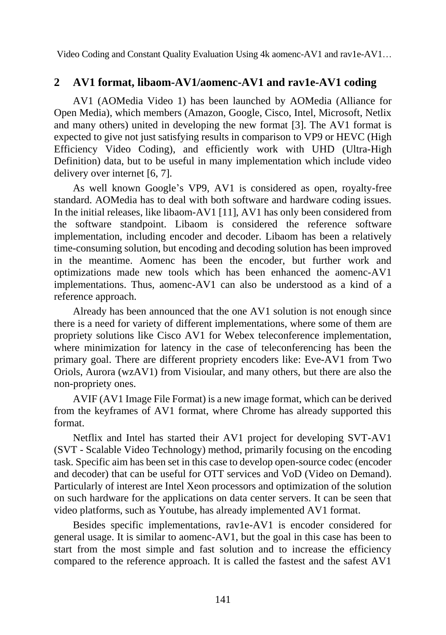# **2 AV1 format, libaom-AV1/aomenc-AV1 and rav1e-AV1 coding**

AV1 (AOMedia Video 1) has been launched by AOMedia (Alliance for Open Media), which members (Amazon, Google, Cisco, Intel, Microsoft, Netlix and many others) united in developing the new format [3]. The AV1 format is expected to give not just satisfying results in comparison to VP9 or HEVC (High Efficiency Video Coding), and efficiently work with UHD (Ultra-High Definition) data, but to be useful in many implementation which include video delivery over internet [6, 7].

As well known Google's VP9, AV1 is considered as open, royalty-free standard. AOMedia has to deal with both software and hardware coding issues. In the initial releases, like libaom-AV1 [11], AV1 has only been considered from the software standpoint. Libaom is considered the reference software implementation, including encoder and decoder. Libaom has been a relatively time-consuming solution, but encoding and decoding solution has been improved in the meantime. Aomenc has been the encoder, but further work and optimizations made new tools which has been enhanced the aomenc-AV1 implementations. Thus, aomenc-AV1 can also be understood as a kind of a reference approach.

Already has been announced that the one AV1 solution is not enough since there is a need for variety of different implementations, where some of them are propriety solutions like Cisco AV1 for Webex teleconference implementation, where minimization for latency in the case of teleconferencing has been the primary goal. There are different propriety encoders like: Eve-AV1 from Two Oriols, Aurora (wzAV1) from Visioular, and many others, but there are also the non-propriety ones.

AVIF (AV1 Image File Format) is a new image format, which can be derived from the keyframes of AV1 format, where Chrome has already supported this format.

Netflix and Intel has started their AV1 project for developing SVT-AV1 (SVT - Scalable Video Technology) method, primarily focusing on the encoding task. Specific aim has been set in this case to develop open-source codec (encoder and decoder) that can be useful for OTT services and VoD (Video on Demand). Particularly of interest are Intel Xeon processors and optimization of the solution on such hardware for the applications on data center servers. It can be seen that video platforms, such as Youtube, has already implemented AV1 format.

Besides specific implementations, rav1e-AV1 is encoder considered for general usage. It is similar to aomenc-AV1, but the goal in this case has been to start from the most simple and fast solution and to increase the efficiency compared to the reference approach. It is called the fastest and the safest AV1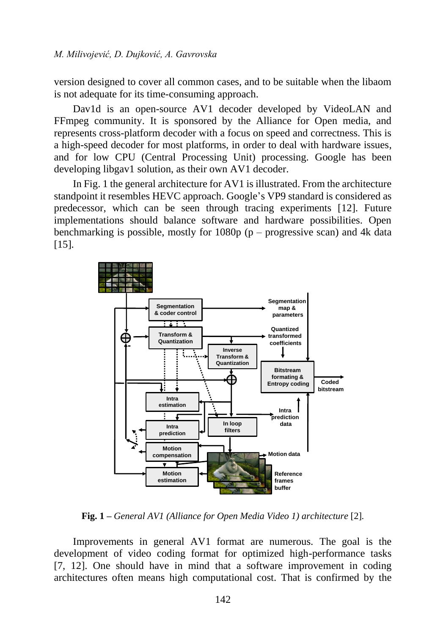version designed to cover all common cases, and to be suitable when the libaom is not adequate for its time-consuming approach.

Dav1d is an open-source AV1 decoder developed by VideoLAN and FFmpeg community. It is sponsored by the Alliance for Open media, and represents cross-platform decoder with a focus on speed and correctness. This is a high-speed decoder for most platforms, in order to deal with hardware issues, and for low CPU (Central Processing Unit) processing. Google has been developing libgav1 solution, as their own AV1 decoder.

In Fig. 1 the general architecture for AV1 is illustrated. From the architecture standpoint it resembles HEVC approach. Google's VP9 standard is considered as predecessor, which can be seen through tracing experiments [12]. Future implementations should balance software and hardware possibilities. Open benchmarking is possible, mostly for  $1080p$  (p – progressive scan) and 4k data [15].



**Fig. 1 –** *General AV1 (Alliance for Open Media Video 1) architecture* [2]*.*

Improvements in general AV1 format are numerous. The goal is the development of video coding format for optimized high-performance tasks [7, 12]. One should have in mind that a software improvement in coding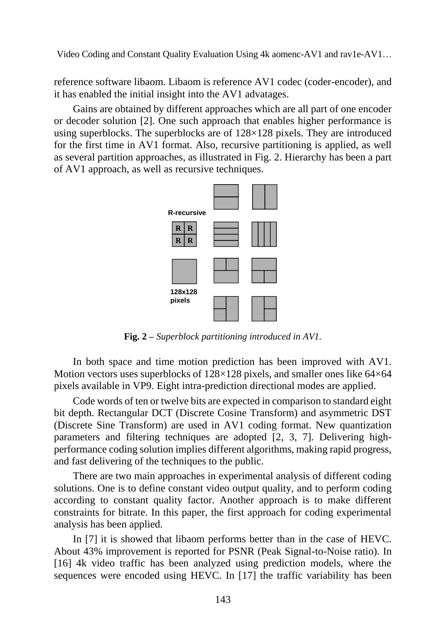reference software libaom. Libaom is reference AV1 codec (coder-encoder), and it has enabled the initial insight into the AV1 advatages.

Gains are obtained by different approaches which are all part of one encoder or decoder solution [2]. One such approach that enables higher performance is using superblocks. The superblocks are of  $128\times128$  pixels. They are introduced for the first time in AV1 format. Also, recursive partitioning is applied, as well as several partition approaches, as illustrated in Fig. 2. Hierarchy has been a part of AV1 approach, as well as recursive techniques.



**Fig. 2 –** *Superblock partitioning introduced in AV1.*

In both space and time motion prediction has been improved with AV1. Motion vectors uses superblocks of  $128\times128$  pixels, and smaller ones like  $64\times64$ pixels available in VP9. Eight intra-prediction directional modes are applied.

Code words of ten or twelve bits are expected in comparison to standard eight bit depth. Rectangular DCT (Discrete Cosine Transform) and asymmetric DST (Discrete Sine Transform) are used in AV1 coding format. New quantization parameters and filtering techniques are adopted [2, 3, 7]. Delivering highperformance coding solution implies different algorithms, making rapid progress, and fast delivering of the techniques to the public.

There are two main approaches in experimental analysis of different coding solutions. One is to define constant video output quality, and to perform coding according to constant quality factor. Another approach is to make different constraints for bitrate. In this paper, the first approach for coding experimental analysis has been applied.

In [7] it is showed that libaom performs better than in the case of HEVC. About 43% improvement is reported for PSNR (Peak Signal-to-Noise ratio). In [16] 4k video traffic has been analyzed using prediction models, where the sequences were encoded using HEVC. In [17] the traffic variability has been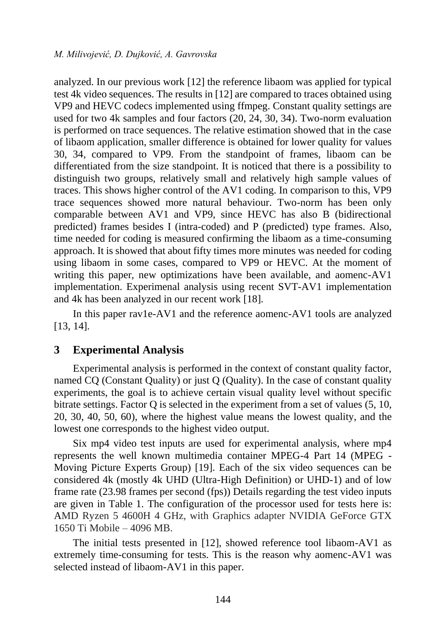analyzed. In our previous work [12] the reference libaom was applied for typical test 4k video sequences. The results in [12] are compared to traces obtained using VP9 and HEVC codecs implemented using ffmpeg. Constant quality settings are used for two 4k samples and four factors (20, 24, 30, 34). Two-norm evaluation is performed on trace sequences. The relative estimation showed that in the case of libaom application, smaller difference is obtained for lower quality for values 30, 34, compared to VP9. From the standpoint of frames, libaom can be differentiated from the size standpoint. It is noticed that there is a possibility to distinguish two groups, relatively small and relatively high sample values of traces. This shows higher control of the AV1 coding. In comparison to this, VP9 trace sequences showed more natural behaviour. Two-norm has been only comparable between AV1 and VP9, since HEVC has also B (bidirectional predicted) frames besides I (intra-coded) and P (predicted) type frames. Also, time needed for coding is measured confirming the libaom as a time-consuming approach. It is showed that about fifty times more minutes was needed for coding using libaom in some cases, compared to VP9 or HEVC. At the moment of writing this paper, new optimizations have been available, and aomenc-AV1 implementation. Experimenal analysis using recent SVT-AV1 implementation and 4k has been analyzed in our recent work [18].

In this paper rav1e-AV1 and the reference aomenc-AV1 tools are analyzed [13, 14].

# **3 Experimental Analysis**

Experimental analysis is performed in the context of constant quality factor, named CQ (Constant Quality) or just Q (Quality). In the case of constant quality experiments, the goal is to achieve certain visual quality level without specific bitrate settings. Factor Q is selected in the experiment from a set of values (5, 10, 20, 30, 40, 50, 60), where the highest value means the lowest quality, and the lowest one corresponds to the highest video output.

Six mp4 video test inputs are used for experimental analysis, where mp4 represents the well known multimedia container MPEG-4 Part 14 (MPEG - Moving Picture Experts Group) [19]. Each of the six video sequences can be considered 4k (mostly 4k UHD (Ultra-High Definition) or UHD-1) and of low frame rate (23.98 frames per second (fps)) Details regarding the test video inputs are given in Table 1. The configuration of the processor used for tests here is: AMD Ryzen 5 4600H 4 GHz, with Graphics adapter NVIDIA GeForce GTX 1650 Ti Mobile – 4096 MB.

The initial tests presented in [12], showed reference tool libaom-AV1 as extremely time-consuming for tests. This is the reason why aomenc-AV1 was selected instead of libaom-AV1 in this paper.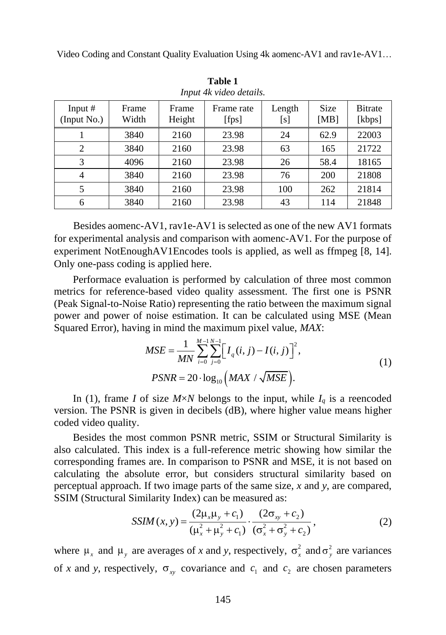| <i>Hipm The video details.</i> |                |                 |                     |               |              |                           |
|--------------------------------|----------------|-----------------|---------------------|---------------|--------------|---------------------------|
| Input $#$<br>(Input No.)       | Frame<br>Width | Frame<br>Height | Frame rate<br>[fps] | Length<br>[s] | Size<br>[MB] | <b>B</b> itrate<br>[kbps] |
|                                | 3840           | 2160            | 23.98               | 24            | 62.9         | 22003                     |
| $\overline{2}$                 | 3840           | 2160            | 23.98               | 63            | 165          | 21722                     |
| 3                              | 4096           | 2160            | 23.98               | 26            | 58.4         | 18165                     |
| 4                              | 3840           | 2160            | 23.98               | 76            | 200          | 21808                     |
| 5                              | 3840           | 2160            | 23.98               | 100           | 262          | 21814                     |
| 6                              | 3840           | 2160            | 23.98               | 43            | 114          | 21848                     |

**Table 1** *Input 4k video details.*

Besides aomenc-AV1, rav1e-AV1 is selected as one of the new AV1 formats for experimental analysis and comparison with aomenc-AV1. For the purpose of experiment NotEnoughAV1Encodes tools is applied, as well as ffmpeg [8, 14]. Only one-pass coding is applied here.

Performace evaluation is performed by calculation of three most common metrics for reference-based video quality assessment. The first one is PSNR (Peak Signal-to-Noise Ratio) representing the ratio between the maximum signal power and power of noise estimation. It can be calculated using MSE (Mean

Squared Error), having in mind the maximum pixel value, MAX:  
\n
$$
MSE = \frac{1}{MN} \sum_{i=0}^{M-1} \sum_{j=0}^{N-1} \left[ I_q(i, j) - I(i, j) \right]^2,
$$
\n
$$
PSNR = 20 \cdot \log_{10} \left( MAX / \sqrt{MSE} \right).
$$
\n(1)

In (1), frame *I* of size  $M \times N$  belongs to the input, while  $I_q$  is a reencoded version. The PSNR is given in decibels (dB), where higher value means higher coded video quality.

Besides the most common PSNR metric, SSIM or Structural Similarity is also calculated. This index is a full-reference metric showing how similar the corresponding frames are. In comparison to PSNR and MSE, it is not based on calculating the absolute error, but considers structural similarity based on perceptual approach. If two image parts of the same size, *x* and *y*, are compared, SSIM (Structural Similarity Index) can be measured as:<br>  $SSM(x, y) = \frac{(2\mu_x\mu_y + c_1)}{(2\sigma_{xy} + c_2)}$ 

$$
SSIM(x, y) = \frac{(2\mu_x \mu_y + c_1)}{(\mu_x^2 + \mu_y^2 + c_1)} \cdot \frac{(2\sigma_{xy} + c_2)}{(\sigma_x^2 + \sigma_y^2 + c_2)},
$$
(2)

where  $\mu_x$  and  $\mu_y$  are averages of *x* and *y*, respectively,  $\sigma_x^2$  and  $\sigma_y^2$  are variances of *x* and *y*, respectively,  $\sigma_{xy}$  covariance and  $c_1$  and  $c_2$  are chosen parameters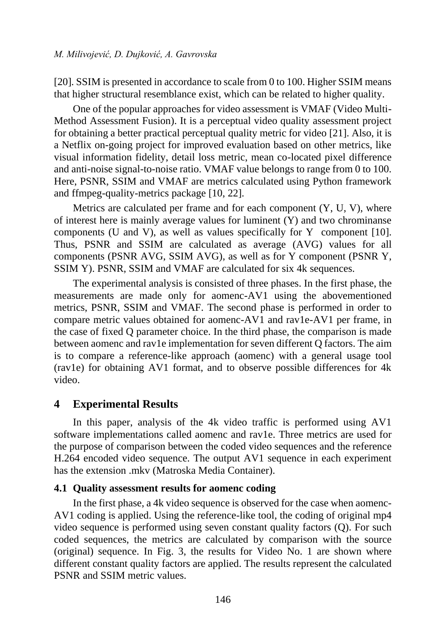[20]. SSIM is presented in accordance to scale from 0 to 100. Higher SSIM means that higher structural resemblance exist, which can be related to higher quality.

One of the popular approaches for video assessment is VMAF (Video Multi-Method Assessment Fusion). It is a perceptual video quality assessment project for obtaining a better practical perceptual quality metric for video [21]. Also, it is a Netflix on-going project for improved evaluation based on other metrics, like visual information fidelity, detail loss metric, mean co-located pixel difference and anti-noise signal-to-noise ratio. VMAF value belongs to range from 0 to 100. Here, PSNR, SSIM and VMAF are metrics calculated using Python framework and ffmpeg-quality-metrics package [10, 22].

Metrics are calculated per frame and for each component (Y, U, V), where of interest here is mainly average values for luminent (Y) and two chrominanse components (U and V), as well as values specifically for Y component [10]. Thus, PSNR and SSIM are calculated as average (AVG) values for all components (PSNR AVG, SSIM AVG), as well as for Y component (PSNR Y, SSIM Y). PSNR, SSIM and VMAF are calculated for six 4k sequences.

The experimental analysis is consisted of three phases. In the first phase, the measurements are made only for aomenc-AV1 using the abovementioned metrics, PSNR, SSIM and VMAF. The second phase is performed in order to compare metric values obtained for aomenc-AV1 and rav1e-AV1 per frame, in the case of fixed Q parameter choice. In the third phase, the comparison is made between aomenc and rav1e implementation for seven different Q factors. The aim is to compare a reference-like approach (aomenc) with a general usage tool (rav1e) for obtaining AV1 format, and to observe possible differences for 4k video.

# **4 Experimental Results**

In this paper, analysis of the 4k video traffic is performed using AV1 software implementations called aomenc and rav1e. Three metrics are used for the purpose of comparison between the coded video sequences and the reference H.264 encoded video sequence. The output AV1 sequence in each experiment has the extension .mkv (Matroska Media Container).

#### **4.1 Quality assessment results for aomenc coding**

In the first phase, a 4k video sequence is observed for the case when aomenc-AV1 coding is applied. Using the reference-like tool, the coding of original mp4 video sequence is performed using seven constant quality factors (Q). For such coded sequences, the metrics are calculated by comparison with the source (original) sequence. In Fig. 3, the results for Video No. 1 are shown where different constant quality factors are applied. The results represent the calculated PSNR and SSIM metric values.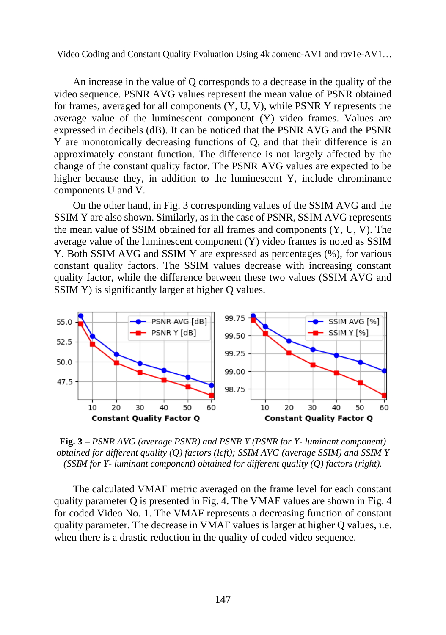An increase in the value of Q corresponds to a decrease in the quality of the video sequence. PSNR AVG values represent the mean value of PSNR obtained for frames, averaged for all components (Y, U, V), while PSNR Y represents the average value of the luminescent component (Y) video frames. Values are expressed in decibels (dB). It can be noticed that the PSNR AVG and the PSNR Y are monotonically decreasing functions of Q, and that their difference is an approximately constant function. The difference is not largely affected by the change of the constant quality factor. The PSNR AVG values are expected to be higher because they, in addition to the luminescent Y, include chrominance components U and V.

On the other hand, in Fig. 3 corresponding values of the SSIM AVG and the SSIM Y are also shown. Similarly, as in the case of PSNR, SSIM AVG represents the mean value of SSIM obtained for all frames and components (Y, U, V). The average value of the luminescent component (Y) video frames is noted as SSIM Y. Both SSIM AVG and SSIM Y are expressed as percentages (%), for various constant quality factors. The SSIM values decrease with increasing constant quality factor, while the difference between these two values (SSIM AVG and SSIM Y) is significantly larger at higher Q values.



**Fig. 3 –** *PSNR AVG (average PSNR) and PSNR Y (PSNR for Y- luminant component) obtained for different quality (Q) factors (left); SSIM AVG (average SSIM) and SSIM Y (SSIM for Y- luminant component) obtained for different quality (Q) factors (right).*

The calculated VMAF metric averaged on the frame level for each constant quality parameter Q is presented in Fig. 4. The VMAF values are shown in Fig. 4 for coded Video No. 1. The VMAF represents a decreasing function of constant quality parameter. The decrease in VMAF values is larger at higher Q values, i.e. when there is a drastic reduction in the quality of coded video sequence.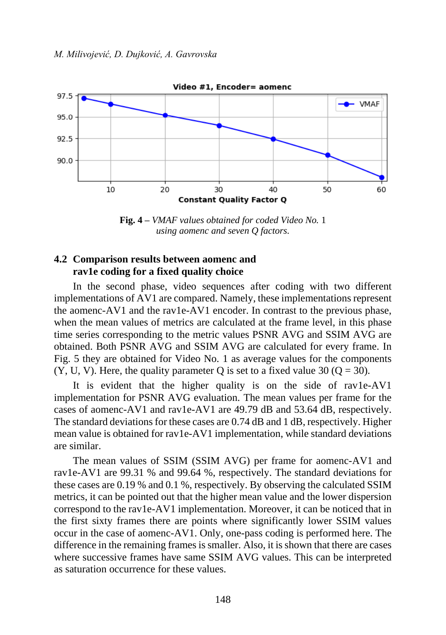

**Fig. 4 –** *VMAF values obtained for coded Video No.* 1 *using aomenc and seven Q factors.*

# **4.2 Comparison results between aomenc and rav1e coding for a fixed quality choice**

In the second phase, video sequences after coding with two different implementations of AV1 are compared. Namely, these implementations represent the aomenc-AV1 and the rav1e-AV1 encoder. In contrast to the previous phase, when the mean values of metrics are calculated at the frame level, in this phase time series corresponding to the metric values PSNR AVG and SSIM AVG are obtained. Both PSNR AVG and SSIM AVG are calculated for every frame. In Fig. 5 they are obtained for Video No. 1 as average values for the components  $(Y, U, V)$ . Here, the quality parameter Q is set to a fixed value 30 (Q = 30).

It is evident that the higher quality is on the side of rav1e-AV1 implementation for PSNR AVG evaluation. The mean values per frame for the cases of aomenc-AV1 and rav1e-AV1 are 49.79 dB and 53.64 dB, respectively. The standard deviations for these cases are 0.74 dB and 1 dB, respectively. Higher mean value is obtained for rav1e-AV1 implementation, while standard deviations are similar.

The mean values of SSIM (SSIM AVG) per frame for aomenc-AV1 and rav1e-AV1 are 99.31 % and 99.64 %, respectively. The standard deviations for these cases are 0.19 % and 0.1 %, respectively. By observing the calculated SSIM metrics, it can be pointed out that the higher mean value and the lower dispersion correspond to the rav1e-AV1 implementation. Moreover, it can be noticed that in the first sixty frames there are points where significantly lower SSIM values occur in the case of aomenc-AV1. Only, one-pass coding is performed here. The difference in the remaining frames is smaller. Also, it is shown that there are cases where successive frames have same SSIM AVG values. This can be interpreted as saturation occurrence for these values.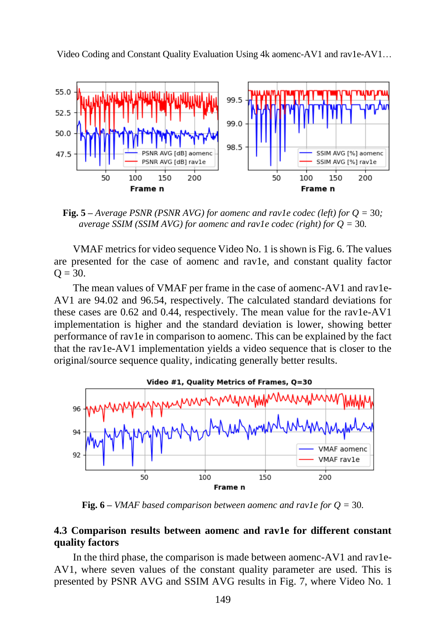

**Fig. 5** – *Average PSNR (PSNR AVG) for aomenc and rav1e codec (left) for*  $Q = 30$ *; average SSIM (SSIM AVG) for aomenc and rav1e codec (right) for Q =* 30*.*

VMAF metrics for video sequence Video No. 1 is shown is Fig. 6. The values are presented for the case of aomenc and rav1e, and constant quality factor  $Q = 30.$ 

The mean values of VMAF per frame in the case of aomenc-AV1 and rav1e-AV1 are 94.02 and 96.54, respectively. The calculated standard deviations for these cases are 0.62 and 0.44, respectively. The mean value for the rav1e-AV1 implementation is higher and the standard deviation is lower, showing better performance of rav1e in comparison to aomenc. This can be explained by the fact that the rav1e-AV1 implementation yields a video sequence that is closer to the original/source sequence quality, indicating generally better results.



**Fig. 6** – *VMAF based comparison between aomenc and rav1e for*  $Q = 30$ *.* 

### **4.3 Comparison results between aomenc and rav1e for different constant quality factors**

In the third phase, the comparison is made between aomenc-AV1 and rav1e-AV1, where seven values of the constant quality parameter are used. This is presented by PSNR AVG and SSIM AVG results in Fig. 7, where Video No. 1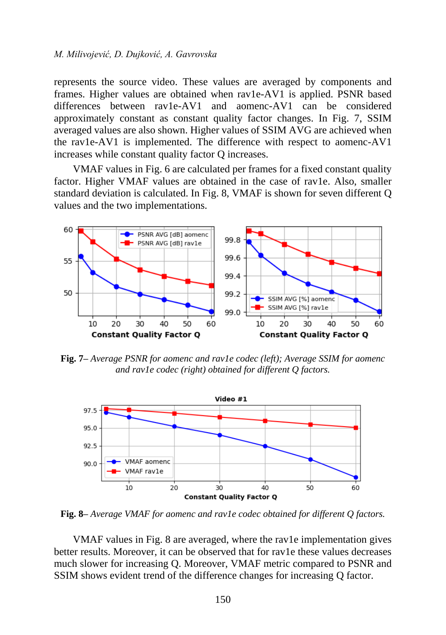#### *M. Milivojević, D. Dujković, A. Gavrovska*

represents the source video. These values are averaged by components and frames. Higher values are obtained when rav1e-AV1 is applied. PSNR based differences between rav1e-AV1 and aomenc-AV1 can be considered approximately constant as constant quality factor changes. In Fig. 7, SSIM averaged values are also shown. Higher values of SSIM AVG are achieved when the rav1e-AV1 is implemented. The difference with respect to aomenc-AV1 increases while constant quality factor Q increases.

VMAF values in Fig. 6 are calculated per frames for a fixed constant quality factor. Higher VMAF values are obtained in the case of rav1e. Also, smaller standard deviation is calculated. In Fig. 8, VMAF is shown for seven different Q values and the two implementations.



**Fig. 7–** *Average PSNR for aomenc and rav1e codec (left); Average SSIM for aomenc and rav1e codec (right) obtained for different Q factors.*



**Fig. 8–** *Average VMAF for aomenc and rav1e codec obtained for different Q factors.*

VMAF values in Fig. 8 are averaged, where the rav1e implementation gives better results. Moreover, it can be observed that for rav1e these values decreases much slower for increasing Q. Moreover, VMAF metric compared to PSNR and SSIM shows evident trend of the difference changes for increasing Q factor.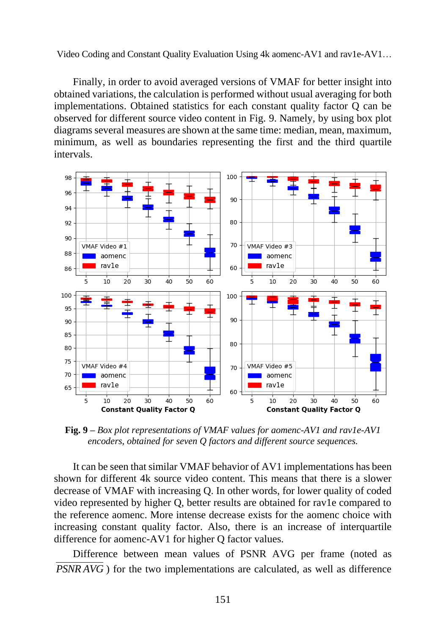Finally, in order to avoid averaged versions of VMAF for better insight into obtained variations, the calculation is performed without usual averaging for both implementations. Obtained statistics for each constant quality factor Q can be observed for different source video content in Fig. 9. Namely, by using box plot diagrams several measures are shown at the same time: median, mean, maximum, minimum, as well as boundaries representing the first and the third quartile intervals.



**Fig. 9 –** *Box plot representations of VMAF values for aomenc-AV1 and rav1e-AV1 encoders, obtained for seven Q factors and different source sequences.*

It can be seen that similar VMAF behavior of AV1 implementations has been shown for different 4k source video content. This means that there is a slower decrease of VMAF with increasing Q. In other words, for lower quality of coded video represented by higher Q, better results are obtained for rav1e compared to the reference aomenc. More intense decrease exists for the aomenc choice with increasing constant quality factor. Also, there is an increase of interquartile difference for aomenc-AV1 for higher Q factor values.

Difference between mean values of PSNR AVG per frame (noted as *PSNR AVG* ) for the two implementations are calculated, as well as difference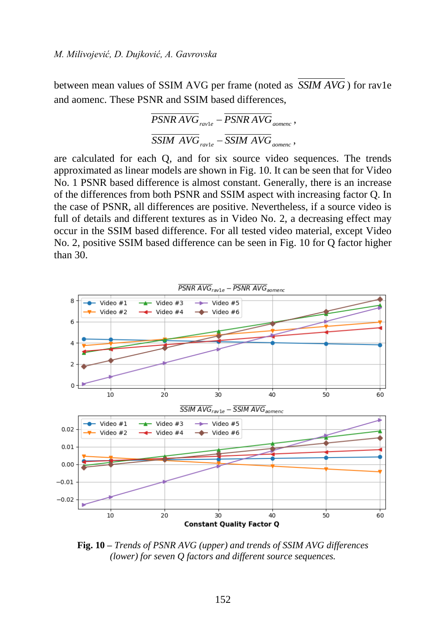between mean values of SSIM AVG per frame (noted as *SSIM AVG* ) for rav1e and aomenc. These PSNR and SSIM based differences,

$$
\frac{\overline{PSNR} \, AVG}{SSIM \, AVG_{\mathit{ravle}}} - \frac{\overline{PSNR} \, AVG_{\mathit{aomenc}}}{SSIM \, AVG_{\mathit{aomenc}}},
$$

are calculated for each Q, and for six source video sequences. The trends approximated as linear models are shown in Fig. 10. It can be seen that for Video No. 1 PSNR based difference is almost constant. Generally, there is an increase of the differences from both PSNR and SSIM aspect with increasing factor Q. In the case of PSNR, all differences are positive. Nevertheless, if a source video is full of details and different textures as in Video No. 2, a decreasing effect may occur in the SSIM based difference. For all tested video material, except Video No. 2, positive SSIM based difference can be seen in Fig. 10 for Q factor higher than 30.



**Fig. 10 –** *Trends of PSNR AVG (upper) and trends of SSIM AVG differences (lower) for seven Q factors and different source sequences.*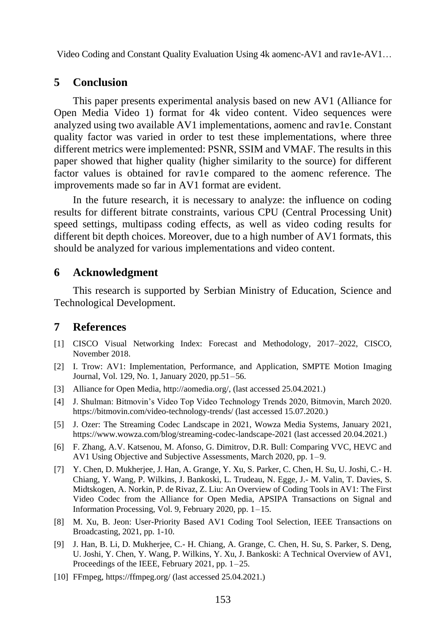# **5 Conclusion**

This paper presents experimental analysis based on new AV1 (Alliance for Open Media Video 1) format for 4k video content. Video sequences were analyzed using two available AV1 implementations, aomenc and rav1e. Constant quality factor was varied in order to test these implementations, where three different metrics were implemented: PSNR, SSIM and VMAF. The results in this paper showed that higher quality (higher similarity to the source) for different factor values is obtained for rav1e compared to the aomenc reference. The improvements made so far in AV1 format are evident.

In the future research, it is necessary to analyze: the influence on coding results for different bitrate constraints, various CPU (Central Processing Unit) speed settings, multipass coding effects, as well as video coding results for different bit depth choices. Moreover, due to a high number of AV1 formats, this should be analyzed for various implementations and video content.

#### **6 Acknowledgment**

This research is supported by Serbian Ministry of Education, Science and Technological Development.

#### **7 References**

- [1] CISCO Visual Networking Index: Forecast and Methodology, 2017–2022, CISCO, November 2018.
- [2] I. Trow: AV1: Implementation, Performance, and Application, SMPTE Motion Imaging Journal, Vol. 129, No. 1, January 2020, pp.51–56.
- [3] Alliance for Open Media[, http://aomedia.org/,](http://aomedia.org/) (last accessed 25.04.2021.)
- [4] J. Shulman: Bitmovin's Video Top Video Technology Trends 2020, Bitmovin, March 2020. <https://bitmovin.com/video-technology-trends/> (last accessed 15.07.2020.)
- [5] J. Ozer: The Streaming Codec Landscape in 2021, Wowza Media Systems, January 2021, [https://www.wowza.com/blog/streaming-codec-landscape-2021](https://www.wowza.com/blog/streaming-codec-landscape-202) (last accessed 20.04.2021.)
- [6] F. Zhang, A.V. Katsenou, M. Afonso, G. Dimitrov, D.R. Bull: Comparing VVC, HEVC and AV1 Using Objective and Subjective Assessments, March 2020, pp. 1–9.
- [7] Y. Chen, D. Mukherjee, J. Han, A. Grange, Y. Xu, S. Parker, C. Chen, H. Su, U. Joshi, C.- H. Chiang, Y. Wang, P. Wilkins, J. Bankoski, L. Trudeau, N. Egge, J.- M. Valin, T. Davies, S. Midtskogen, A. Norkin, P. de Rivaz, Z. Liu: An Overview of Coding Tools in AV1: The First Video Codec from the Alliance for Open Media, APSIPA Transactions on Signal and Information Processing, Vol. 9, February 2020, pp. 1–15.
- [8] M. Xu, B. Jeon: User-Priority Based AV1 Coding Tool Selection, IEEE Transactions on Broadcasting, 2021, pp. 1-10.
- [9] J. Han, B. Li, D. Mukherjee, C.- H. Chiang, A. Grange, C. Chen, H. Su, S. Parker, S. Deng, U. Joshi, Y. Chen, Y. Wang, P. Wilkins, Y. Xu, J. Bankoski: A Technical Overview of AV1, Proceedings of the IEEE, February 2021, pp. 1–25.
- [10] FFmpeg,<https://ffmpeg.org/> (last accessed 25.04.2021.)